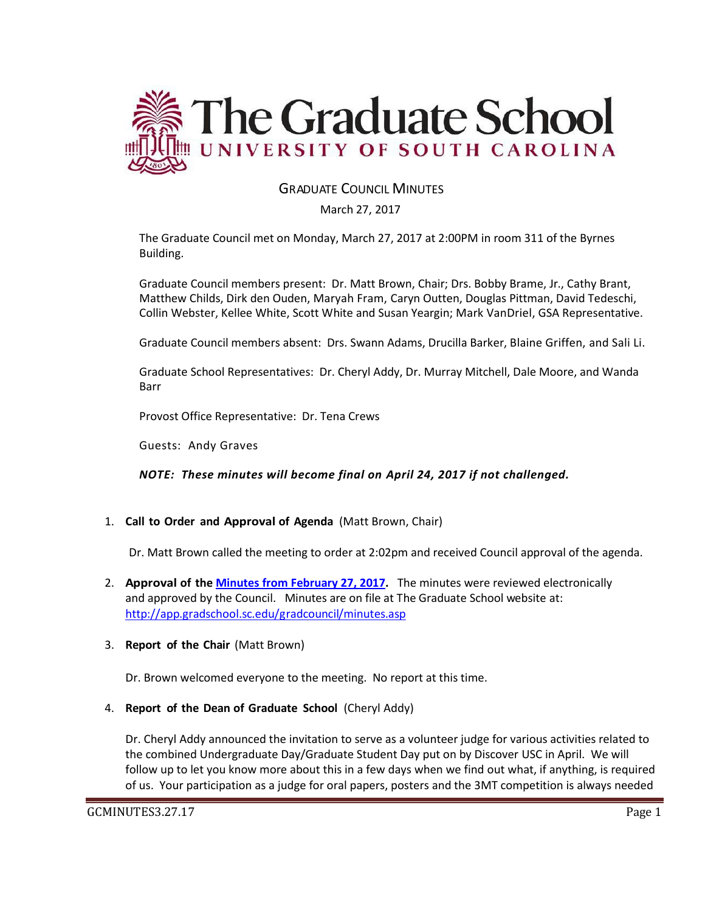

# GRADUATE COUNCIL MINUTES

March 27, 2017

The Graduate Council met on Monday, March 27, 2017 at 2:00PM in room 311 of the Byrnes Building.

Graduate Council members present: Dr. Matt Brown, Chair; Drs. Bobby Brame, Jr., Cathy Brant, Matthew Childs, Dirk den Ouden, Maryah Fram, Caryn Outten, Douglas Pittman, David Tedeschi, Collin Webster, Kellee White, Scott White and Susan Yeargin; Mark VanDriel, GSA Representative.

Graduate Council members absent: Drs. Swann Adams, Drucilla Barker, Blaine Griffen, and Sali Li.

Graduate School Representatives: Dr. Cheryl Addy, Dr. Murray Mitchell, Dale Moore, and Wanda Barr

Provost Office Representative: Dr. Tena Crews

Guests: Andy Graves

*NOTE: These minutes will become final on April 24, 2017 if not challenged.* 

# 1. **Call to Order and Approval of Agenda** (Matt Brown, Chair)

Dr. Matt Brown called the meeting to order at 2:02pm and received Council approval of the agenda.

2. **Approval of the [Minutes from February 27, 2017.](file:///C:/Users/wandab/Local%20Documents/Graduate%20Council/GCMinutes27Feb2017%20ERD1%20(2).pdf)** The minutes were reviewed electronically and approved by the Council. Minutes are on file at The Graduate School website at: <http://app.gradschool.sc.edu/gradcouncil/minutes.asp>

### 3. **Report of the Chair** (Matt Brown)

Dr. Brown welcomed everyone to the meeting. No report at this time.

4. **Report of the Dean of Graduate School** (Cheryl Addy)

Dr. Cheryl Addy announced the invitation to serve as a volunteer judge for various activities related to the combined Undergraduate Day/Graduate Student Day put on by Discover USC in April. We will follow up to let you know more about this in a few days when we find out what, if anything, is required of us. Your participation as a judge for oral papers, posters and the 3MT competition is always needed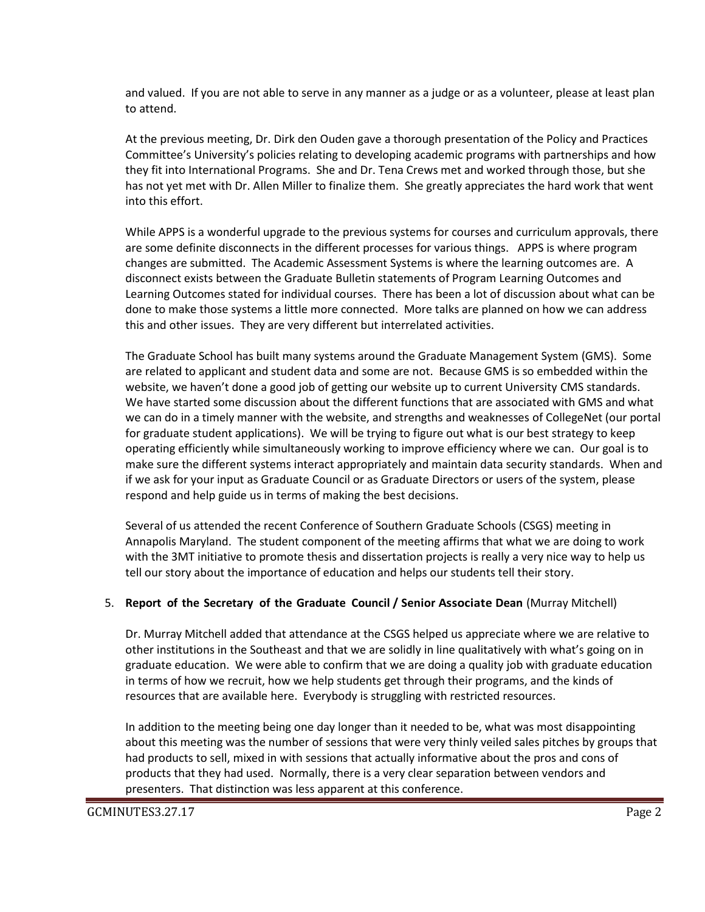and valued. If you are not able to serve in any manner as a judge or as a volunteer, please at least plan to attend.

At the previous meeting, Dr. Dirk den Ouden gave a thorough presentation of the Policy and Practices Committee's University's policies relating to developing academic programs with partnerships and how they fit into International Programs. She and Dr. Tena Crews met and worked through those, but she has not yet met with Dr. Allen Miller to finalize them. She greatly appreciates the hard work that went into this effort.

While APPS is a wonderful upgrade to the previous systems for courses and curriculum approvals, there are some definite disconnects in the different processes for various things. APPS is where program changes are submitted. The Academic Assessment Systems is where the learning outcomes are. A disconnect exists between the Graduate Bulletin statements of Program Learning Outcomes and Learning Outcomes stated for individual courses. There has been a lot of discussion about what can be done to make those systems a little more connected. More talks are planned on how we can address this and other issues. They are very different but interrelated activities.

The Graduate School has built many systems around the Graduate Management System (GMS). Some are related to applicant and student data and some are not. Because GMS is so embedded within the website, we haven't done a good job of getting our website up to current University CMS standards. We have started some discussion about the different functions that are associated with GMS and what we can do in a timely manner with the website, and strengths and weaknesses of CollegeNet (our portal for graduate student applications). We will be trying to figure out what is our best strategy to keep operating efficiently while simultaneously working to improve efficiency where we can. Our goal is to make sure the different systems interact appropriately and maintain data security standards. When and if we ask for your input as Graduate Council or as Graduate Directors or users of the system, please respond and help guide us in terms of making the best decisions.

Several of us attended the recent Conference of Southern Graduate Schools (CSGS) meeting in Annapolis Maryland. The student component of the meeting affirms that what we are doing to work with the 3MT initiative to promote thesis and dissertation projects is really a very nice way to help us tell our story about the importance of education and helps our students tell their story.

### 5. **Report of the Secretary of the Graduate Council / Senior Associate Dean** (Murray Mitchell)

Dr. Murray Mitchell added that attendance at the CSGS helped us appreciate where we are relative to other institutions in the Southeast and that we are solidly in line qualitatively with what's going on in graduate education. We were able to confirm that we are doing a quality job with graduate education in terms of how we recruit, how we help students get through their programs, and the kinds of resources that are available here. Everybody is struggling with restricted resources.

In addition to the meeting being one day longer than it needed to be, what was most disappointing about this meeting was the number of sessions that were very thinly veiled sales pitches by groups that had products to sell, mixed in with sessions that actually informative about the pros and cons of products that they had used. Normally, there is a very clear separation between vendors and presenters. That distinction was less apparent at this conference.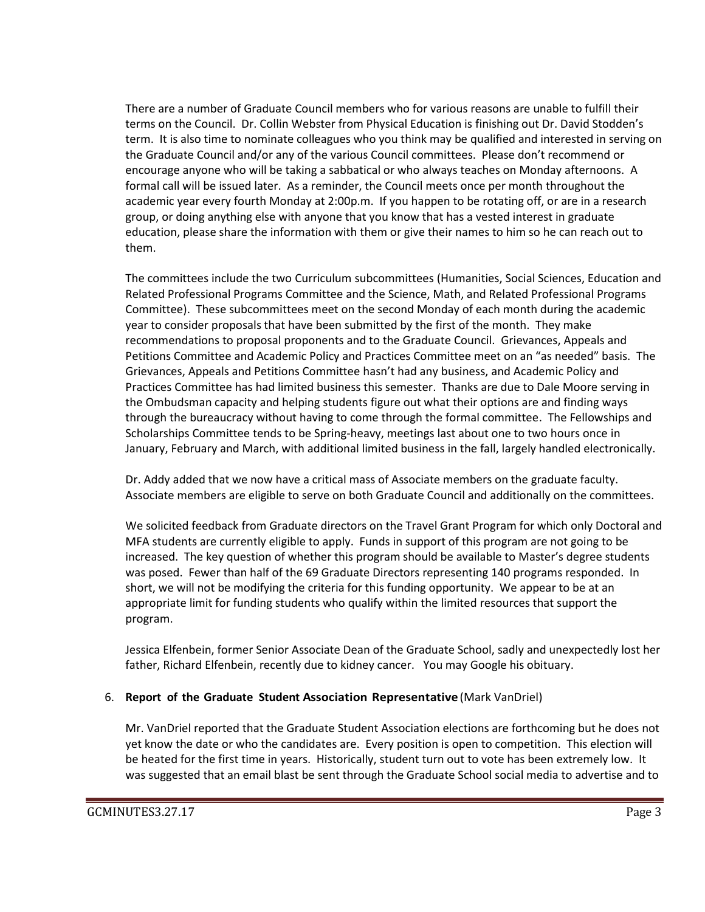There are a number of Graduate Council members who for various reasons are unable to fulfill their terms on the Council. Dr. Collin Webster from Physical Education is finishing out Dr. David Stodden's term. It is also time to nominate colleagues who you think may be qualified and interested in serving on the Graduate Council and/or any of the various Council committees. Please don't recommend or encourage anyone who will be taking a sabbatical or who always teaches on Monday afternoons. A formal call will be issued later. As a reminder, the Council meets once per month throughout the academic year every fourth Monday at 2:00p.m. If you happen to be rotating off, or are in a research group, or doing anything else with anyone that you know that has a vested interest in graduate education, please share the information with them or give their names to him so he can reach out to them.

The committees include the two Curriculum subcommittees (Humanities, Social Sciences, Education and Related Professional Programs Committee and the Science, Math, and Related Professional Programs Committee). These subcommittees meet on the second Monday of each month during the academic year to consider proposals that have been submitted by the first of the month. They make recommendations to proposal proponents and to the Graduate Council. Grievances, Appeals and Petitions Committee and Academic Policy and Practices Committee meet on an "as needed" basis. The Grievances, Appeals and Petitions Committee hasn't had any business, and Academic Policy and Practices Committee has had limited business this semester. Thanks are due to Dale Moore serving in the Ombudsman capacity and helping students figure out what their options are and finding ways through the bureaucracy without having to come through the formal committee. The Fellowships and Scholarships Committee tends to be Spring-heavy, meetings last about one to two hours once in January, February and March, with additional limited business in the fall, largely handled electronically.

Dr. Addy added that we now have a critical mass of Associate members on the graduate faculty. Associate members are eligible to serve on both Graduate Council and additionally on the committees.

We solicited feedback from Graduate directors on the Travel Grant Program for which only Doctoral and MFA students are currently eligible to apply. Funds in support of this program are not going to be increased. The key question of whether this program should be available to Master's degree students was posed. Fewer than half of the 69 Graduate Directors representing 140 programs responded. In short, we will not be modifying the criteria for this funding opportunity. We appear to be at an appropriate limit for funding students who qualify within the limited resources that support the program.

Jessica Elfenbein, former Senior Associate Dean of the Graduate School, sadly and unexpectedly lost her father, Richard Elfenbein, recently due to kidney cancer. You may Google his obituary.

# 6. **Report of the Graduate Student Association Representative** (Mark VanDriel)

Mr. VanDriel reported that the Graduate Student Association elections are forthcoming but he does not yet know the date or who the candidates are. Every position is open to competition. This election will be heated for the first time in years. Historically, student turn out to vote has been extremely low. It was suggested that an email blast be sent through the Graduate School social media to advertise and to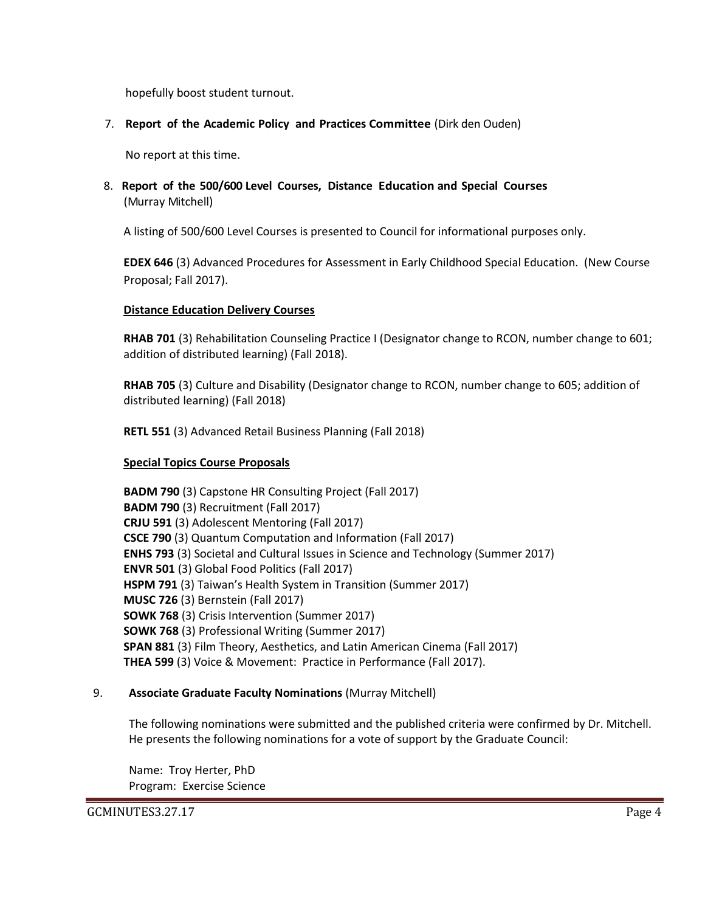hopefully boost student turnout.

### 7. **Report of the Academic Policy and Practices Committee** (Dirk den Ouden)

No report at this time.

8. **Report of the 500/600 Level Courses, Distance Education and Special Courses** (Murray Mitchell)

A listing of 500/600 Level Courses is presented to Council for informational purposes only.

**EDEX 646** (3) Advanced Procedures for Assessment in Early Childhood Special Education. (New Course Proposal; Fall 2017).

### **Distance Education Delivery Courses**

**RHAB 701** (3) Rehabilitation Counseling Practice I (Designator change to RCON, number change to 601; addition of distributed learning) (Fall 2018).

**RHAB 705** (3) Culture and Disability (Designator change to RCON, number change to 605; addition of distributed learning) (Fall 2018)

**RETL 551** (3) Advanced Retail Business Planning (Fall 2018)

### **Special Topics Course Proposals**

**BADM 790** (3) Capstone HR Consulting Project (Fall 2017) **BADM 790** (3) Recruitment (Fall 2017) **CRJU 591** (3) Adolescent Mentoring (Fall 2017) **CSCE 790** (3) Quantum Computation and Information (Fall 2017) **ENHS 793** (3) Societal and Cultural Issues in Science and Technology (Summer 2017) **ENVR 501** (3) Global Food Politics (Fall 2017) **HSPM 791** (3) Taiwan's Health System in Transition (Summer 2017) **MUSC 726** (3) Bernstein (Fall 2017) **SOWK 768** (3) Crisis Intervention (Summer 2017) **SOWK 768** (3) Professional Writing (Summer 2017) **SPAN 881** (3) Film Theory, Aesthetics, and Latin American Cinema (Fall 2017) **THEA 599** (3) Voice & Movement: Practice in Performance (Fall 2017).

### 9. **Associate Graduate Faculty Nominations** (Murray Mitchell)

The following nominations were submitted and the published criteria were confirmed by Dr. Mitchell. He presents the following nominations for a vote of support by the Graduate Council:

Name: Troy Herter, PhD Program: Exercise Science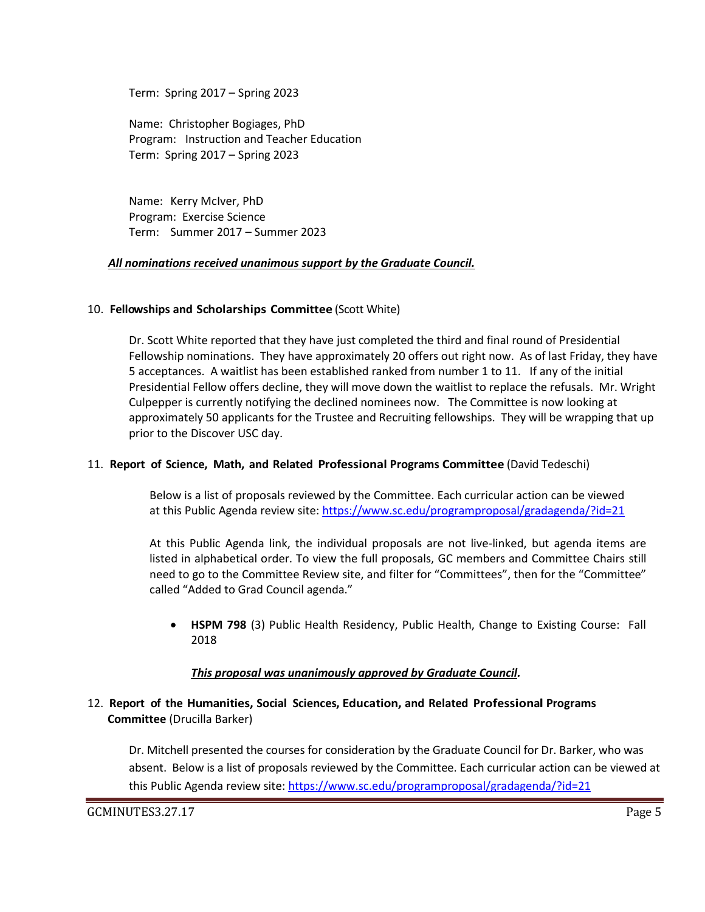Term: Spring 2017 – Spring 2023

Name: Christopher Bogiages, PhD Program: Instruction and Teacher Education Term: Spring 2017 – Spring 2023

Name: Kerry McIver, PhD Program: Exercise Science Term: Summer 2017 – Summer 2023

### *All nominations received unanimous support by the Graduate Council.*

### 10. **Fellowships and Scholarships Committee** (Scott White)

Dr. Scott White reported that they have just completed the third and final round of Presidential Fellowship nominations. They have approximately 20 offers out right now. As of last Friday, they have 5 acceptances. A waitlist has been established ranked from number 1 to 11. If any of the initial Presidential Fellow offers decline, they will move down the waitlist to replace the refusals. Mr. Wright Culpepper is currently notifying the declined nominees now. The Committee is now looking at approximately 50 applicants for the Trustee and Recruiting fellowships. They will be wrapping that up prior to the Discover USC day.

### 11. **Report of Science, Math, and Related Professional Programs Committee** (David Tedeschi)

Below is a list of proposals reviewed by the Committee. Each curricular action can be viewed at this Public Agenda review site:<https://www.sc.edu/programproposal/gradagenda/?id=21>

At this Public Agenda link, the individual proposals are not live-linked, but agenda items are listed in alphabetical order. To view the full proposals, GC members and Committee Chairs still need to go to the Committee Review site, and filter for "Committees", then for the "Committee" called "Added to Grad Council agenda."

 **HSPM 798** (3) Public Health Residency, Public Health, Change to Existing Course: Fall 2018

### *This proposal was unanimously approved by Graduate Council.*

### 12. **Report of the Humanities, Social Sciences, Education, and Related Professional Programs Committee** (Drucilla Barker)

Dr. Mitchell presented the courses for consideration by the Graduate Council for Dr. Barker, who was absent. Below is a list of proposals reviewed by the Committee. Each curricular action can be viewed at this Public Agenda review site:<https://www.sc.edu/programproposal/gradagenda/?id=21>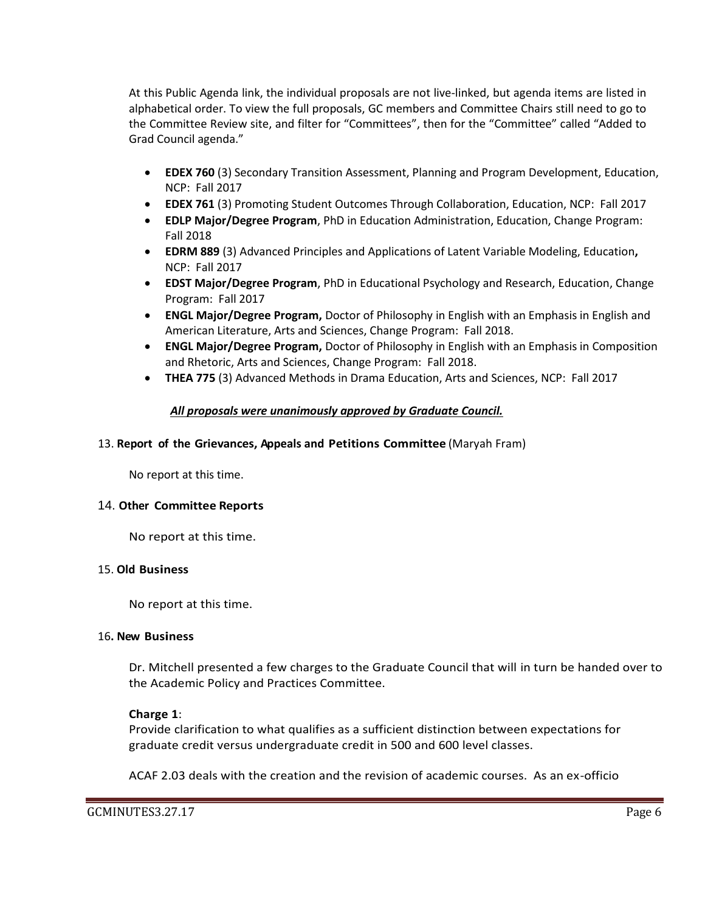At this Public Agenda link, the individual proposals are not live-linked, but agenda items are listed in alphabetical order. To view the full proposals, GC members and Committee Chairs still need to go to the Committee Review site, and filter for "Committees", then for the "Committee" called "Added to Grad Council agenda."

- **EDEX 760** (3) Secondary Transition Assessment, Planning and Program Development, Education, NCP: Fall 2017
- **EDEX 761** (3) Promoting Student Outcomes Through Collaboration, Education, NCP: Fall 2017
- **EDLP Major/Degree Program**, PhD in Education Administration, Education, Change Program: Fall 2018
- **EDRM 889** (3) Advanced Principles and Applications of Latent Variable Modeling, Education**,**  NCP: Fall 2017
- **EDST Major/Degree Program**, PhD in Educational Psychology and Research, Education, Change Program: Fall 2017
- **ENGL Major/Degree Program,** Doctor of Philosophy in English with an Emphasis in English and American Literature, Arts and Sciences, Change Program: Fall 2018.
- **ENGL Major/Degree Program,** Doctor of Philosophy in English with an Emphasis in Composition and Rhetoric, Arts and Sciences, Change Program: Fall 2018.
- **THEA 775** (3) Advanced Methods in Drama Education, Arts and Sciences, NCP: Fall 2017

# *All proposals were unanimously approved by Graduate Council.*

### 13. **Report of the Grievances, Appeals and Petitions Committee** (Maryah Fram)

No report at this time.

### 14. **Other Committee Reports**

No report at this time.

### 15. **Old Business**

No report at this time.

### 16**. New Business**

Dr. Mitchell presented a few charges to the Graduate Council that will in turn be handed over to the Academic Policy and Practices Committee.

### **Charge 1**:

Provide clarification to what qualifies as a sufficient distinction between expectations for graduate credit versus undergraduate credit in 500 and 600 level classes.

ACAF 2.03 deals with the creation and the revision of academic courses. As an ex-officio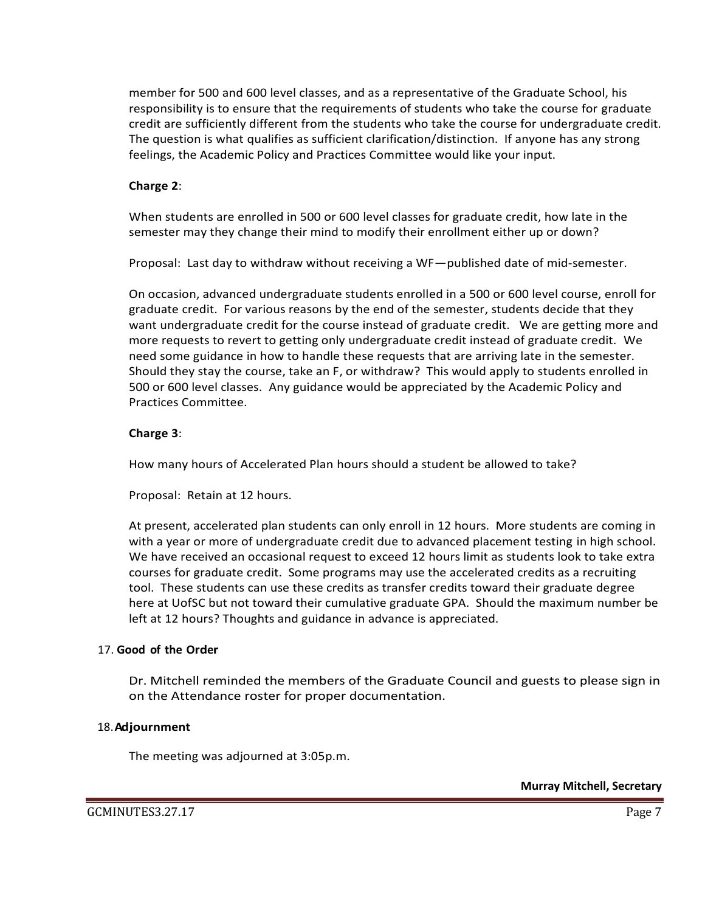member for 500 and 600 level classes, and as a representative of the Graduate School, his responsibility is to ensure that the requirements of students who take the course for graduate credit are sufficiently different from the students who take the course for undergraduate credit. The question is what qualifies as sufficient clarification/distinction. If anyone has any strong feelings, the Academic Policy and Practices Committee would like your input.

### **Charge 2**:

When students are enrolled in 500 or 600 level classes for graduate credit, how late in the semester may they change their mind to modify their enrollment either up or down?

Proposal: Last day to withdraw without receiving a WF—published date of mid-semester.

On occasion, advanced undergraduate students enrolled in a 500 or 600 level course, enroll for graduate credit. For various reasons by the end of the semester, students decide that they want undergraduate credit for the course instead of graduate credit. We are getting more and more requests to revert to getting only undergraduate credit instead of graduate credit. We need some guidance in how to handle these requests that are arriving late in the semester. Should they stay the course, take an F, or withdraw? This would apply to students enrolled in 500 or 600 level classes. Any guidance would be appreciated by the Academic Policy and Practices Committee.

### **Charge 3**:

How many hours of Accelerated Plan hours should a student be allowed to take?

Proposal: Retain at 12 hours.

At present, accelerated plan students can only enroll in 12 hours. More students are coming in with a year or more of undergraduate credit due to advanced placement testing in high school. We have received an occasional request to exceed 12 hours limit as students look to take extra courses for graduate credit. Some programs may use the accelerated credits as a recruiting tool. These students can use these credits as transfer credits toward their graduate degree here at UofSC but not toward their cumulative graduate GPA. Should the maximum number be left at 12 hours? Thoughts and guidance in advance is appreciated.

### 17. **Good of the Order**

Dr. Mitchell reminded the members of the Graduate Council and guests to please sign in on the Attendance roster for proper documentation.

### 18.**Adjournment**

The meeting was adjourned at 3:05p.m.

**Murray Mitchell, Secretary**